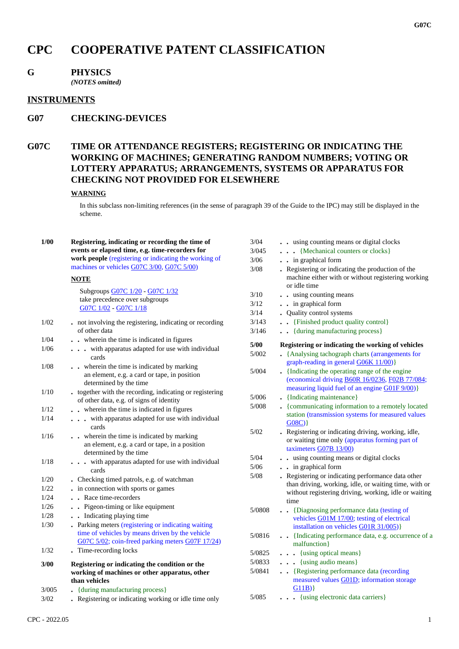# **CPC COOPERATIVE PATENT CLASSIFICATION**

# **G PHYSICS**

*(NOTES omitted)*

#### **INSTRUMENTS**

# **G07 CHECKING-DEVICES**

# **G07C TIME OR ATTENDANCE REGISTERS; REGISTERING OR INDICATING THE WORKING OF MACHINES; GENERATING RANDOM NUMBERS; VOTING OR LOTTERY APPARATUS; ARRANGEMENTS, SYSTEMS OR APPARATUS FOR CHECKING NOT PROVIDED FOR ELSEWHERE**

#### **WARNING**

In this subclass non-limiting references (in the sense of paragraph 39 of the Guide to the IPC) may still be displayed in the scheme.

| $1/00$ | Registering, indicating or recording the time of         | $3/04$ | . . using counting means or digital clocks                                                              |
|--------|----------------------------------------------------------|--------|---------------------------------------------------------------------------------------------------------|
|        | events or elapsed time, e.g. time-recorders for          | 3/045  | {Mechanical counters or clocks}                                                                         |
|        | work people (registering or indicating the working of    | 3/06   | . . in graphical form                                                                                   |
|        | machines or vehicles G07C 3/00, G07C 5/00)               | $3/08$ | . Registering or indicating the production of the                                                       |
|        | <b>NOTE</b>                                              |        | machine either with or without registering working<br>or idle time                                      |
|        | Subgroups G07C 1/20 - G07C 1/32                          | 3/10   | . . using counting means                                                                                |
|        | take precedence over subgroups                           | $3/12$ | . . in graphical form                                                                                   |
|        | G07C 1/02 - G07C 1/18                                    | 3/14   | • Quality control systems                                                                               |
| $1/02$ | . not involving the registering, indicating or recording | 3/143  | . [Finished product quality control]                                                                    |
|        | of other data                                            | 3/146  | . {during manufacturing process}                                                                        |
| 1/04   | wherein the time is indicated in figures                 |        |                                                                                                         |
| 1/06   | with apparatus adapted for use with individual           | 5/00   | Registering or indicating the working of vehicles                                                       |
|        | cards                                                    | 5/002  | • {Analysing tachograph charts (arrangements for                                                        |
| 1/08   | . . wherein the time is indicated by marking             |        | graph-reading in general G06K 11/00)}                                                                   |
|        | an element, e.g. a card or tape, in position             | 5/004  | • {Indicating the operating range of the engine                                                         |
|        | determined by the time                                   |        | (economical driving B60R 16/0236, F02B 77/084;                                                          |
| 1/10   | • together with the recording, indicating or registering | 5/006  | measuring liquid fuel of an engine G01F 9/00)}<br>• {Indicating maintenance}                            |
|        | of other data, e.g. of signs of identity                 |        |                                                                                                         |
| 1/12   | wherein the time is indicated in figures                 | 5/008  | • {communicating information to a remotely located<br>station (transmission systems for measured values |
| 1/14   | with apparatus adapted for use with individual           |        | G08C)                                                                                                   |
|        | cards                                                    | $5/02$ | . Registering or indicating driving, working, idle,                                                     |
| 1/16   | . . wherein the time is indicated by marking             |        | or waiting time only (apparatus forming part of                                                         |
|        | an element, e.g. a card or tape, in a position           |        | taximeters G07B 13/00)                                                                                  |
|        | determined by the time                                   | $5/04$ | . . using counting means or digital clocks                                                              |
| 1/18   | . with apparatus adapted for use with individual         | $5/06$ | . . in graphical form                                                                                   |
|        | cards                                                    | 5/08   | . Registering or indicating performance data other                                                      |
| 1/20   | . Checking timed patrols, e.g. of watchman               |        | than driving, working, idle, or waiting time, with or                                                   |
| 1/22   | in connection with sports or games                       |        | without registering driving, working, idle or waiting                                                   |
| 1/24   | . . Race time-recorders                                  |        | time                                                                                                    |
| 1/26   | . . Pigeon-timing or like equipment                      | 5/0808 | . Diagnosing performance data (testing of                                                               |
| 1/28   | . . Indicating playing time                              |        | vehicles G01M 17/00; testing of electrical                                                              |
| 1/30   | . Parking meters (registering or indicating waiting      |        | installation on vehicles G01R 31/005)}                                                                  |
|        | time of vehicles by means driven by the vehicle          | 5/0816 | . {Indicating performance data, e.g. occurrence of a                                                    |
|        | G07C 5/02; coin-freed parking meters G07F 17/24)         |        | malfunction}                                                                                            |
| 1/32   | . Time-recording locks                                   | 5/0825 | . {using optical means}                                                                                 |
| 3/00   | Registering or indicating the condition or the           | 5/0833 | $\cdots$ {using audio means}                                                                            |
|        | working of machines or other apparatus, other            | 5/0841 | . . {Registering performance data (recording                                                            |
|        | than vehicles                                            |        | measured values G01D; information storage                                                               |
| 3/005  | • {during manufacturing process}                         |        | G11B)                                                                                                   |
| $3/02$ | . Registering or indicating working or idle time only    | 5/085  | . {using electronic data carriers}                                                                      |
|        |                                                          |        |                                                                                                         |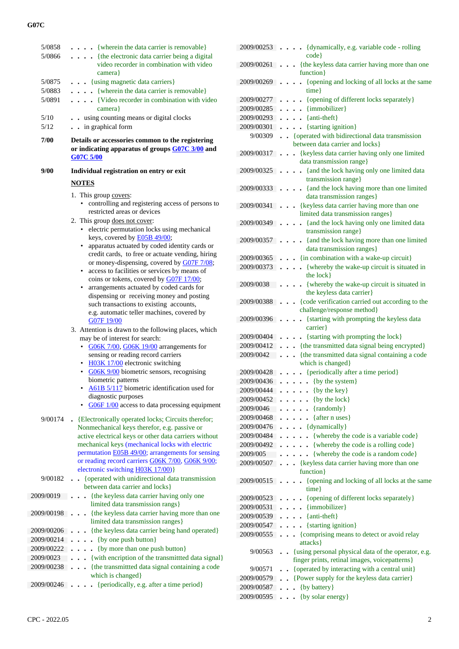### **G07C**

| 5/0858     | $\ldots$ {wherein the data carrier is removable}                                        |  |
|------------|-----------------------------------------------------------------------------------------|--|
| 5/0866     | . {the electronic data carrier being a digital                                          |  |
|            | video recorder in combination with video                                                |  |
|            | camera }                                                                                |  |
| 5/0875     | {using magnetic data carriers}                                                          |  |
| 5/0883     | . {wherein the data carrier is removable}                                               |  |
| 5/0891     | . {Video recorder in combination with video                                             |  |
|            | camera}                                                                                 |  |
| 5/10       | . . using counting means or digital clocks                                              |  |
| 5/12       | . . in graphical form                                                                   |  |
| 7/00       | Details or accessories common to the registering                                        |  |
|            | or indicating apparatus of groups G07C 3/00 and<br><b>G07C 5/00</b>                     |  |
| 9/00       | Individual registration on entry or exit                                                |  |
|            | <b>NOTES</b>                                                                            |  |
|            | 1. This group covers:                                                                   |  |
|            | controlling and registering access of persons to                                        |  |
|            | restricted areas or devices                                                             |  |
|            | 2. This group does not cover:                                                           |  |
|            | electric permutation locks using mechanical                                             |  |
|            | keys, covered by <b>E05B 49/00</b> ;                                                    |  |
|            | apparatus actuated by coded identity cards or                                           |  |
|            | credit cards, to free or actuate vending, hiring                                        |  |
|            | or money-dispensing, covered by G07F 7/08;                                              |  |
|            | access to facilities or services by means of<br>coins or tokens, covered by G07F 17/00; |  |
|            | arrangements actuated by coded cards for                                                |  |
|            | dispensing or receiving money and posting                                               |  |
|            | such transactions to existing accounts,                                                 |  |
|            | e.g. automatic teller machines, covered by                                              |  |
|            | G07F 19/00                                                                              |  |
|            | 3. Attention is drawn to the following places, which                                    |  |
|            | may be of interest for search:                                                          |  |
|            | G06K 7/00, G06K 19/00 arrangements for<br>$\bullet$                                     |  |
|            | sensing or reading record carriers                                                      |  |
|            | H03K 17/00 electronic switching                                                         |  |
|            | G06K 9/00 biometric sensors, recognising                                                |  |
|            | biometric patterns                                                                      |  |
|            | • A61B 5/117 biometric identification used for                                          |  |
|            | diagnostic purposes<br>G06F 1/00 access to data processing equipment                    |  |
|            |                                                                                         |  |
| 9/00174    | • {Electronically operated locks; Circuits therefor;                                    |  |
|            | Nonmechanical keys therefor, e.g. passive or                                            |  |
|            | active electrical keys or other data carriers without                                   |  |
|            | mechanical keys (mechanical locks with electric                                         |  |
|            | permutation <b>E05B 49/00</b> ; arrangements for sensing                                |  |
|            | or reading record carriers G06K 7/00, G06K 9/00;<br>electronic switching H03K 17/00)    |  |
|            | . { operated with unidirectional data transmission                                      |  |
| 9/00182    | between data carrier and locks}                                                         |  |
| 2009/0019  | . {the keyless data carrier having only one                                             |  |
|            | limited data transmission rangs}                                                        |  |
| 2009/00198 | . {the keyless data carrier having more than one                                        |  |
|            | limited data transmission ranges}                                                       |  |
| 2009/00206 | {the keyless data carrier being hand operated}                                          |  |
| 2009/00214 | {by one push button}<br>$\ddot{\phantom{0}}$                                            |  |
| 2009/00222 | {by more than one push button}                                                          |  |
| 2009/0023  | . . {with encription of the transmitted data signal}                                    |  |
| 2009/00238 | {the transmittted data signal containing a code<br>$\bullet$ $\bullet$ $\bullet$        |  |
|            | which is changed}                                                                       |  |
| 2009/00246 | {periodically, e.g. after a time period}                                                |  |
|            |                                                                                         |  |

| 2009/00253 | {dynamically, e.g. variable code - rolling<br>code}                                               |
|------------|---------------------------------------------------------------------------------------------------|
| 2009/00261 | {the keyless data carrier having more than one                                                    |
|            | function}                                                                                         |
| 2009/00269 | {opening and locking of all locks at the same<br>time}                                            |
| 2009/00277 | {opening of different locks separately}<br>$\ddot{\phantom{0}}$                                   |
| 2009/00285 | {immobilizer}<br>$\ddot{\phantom{0}}$                                                             |
| 2009/00293 | {anti-theft}<br>.                                                                                 |
| 2009/00301 | {starting ignition}<br>$\ddot{\phantom{0}}$                                                       |
| 9/00309    | • {operated with bidirectional data transmission                                                  |
|            | between data carrier and locks}                                                                   |
| 2009/00317 | {keyless data carrier having only one limited<br>$\ddot{\phantom{0}}$<br>data transmission range} |
| 2009/00325 | {and the lock having only one limited data<br>$\ddot{\phantom{0}}$<br>transmission range}         |
| 2009/00333 | {and the lock having more than one limited<br>$\ddot{\phantom{0}}$<br>data transmission ranges}   |
| 2009/00341 | {keyless data carrier having more than one<br>$\ddot{\phantom{0}}$                                |
|            | limited data transmission ranges}                                                                 |
| 2009/00349 | . {and the lock having only one limited data<br>transmission range}                               |
| 2009/00357 | • {and the lock having more than one limited<br>data transmission ranges}                         |
| 2009/00365 | . . {in combination with a wake-up circuit}                                                       |
| 2009/00373 | • {whereby the wake-up circuit is situated in                                                     |
| 2009/0038  | the lock }<br>{whereby the wake-up circuit is situated in<br>$\ddot{\phantom{0}}$                 |
|            | the keyless data carrier}                                                                         |
| 2009/00388 | {code verification carried out according to the<br>challenge/response method}                     |
| 2009/00396 | {starting with prompting the keyless data<br>carrier}                                             |
| 2009/00404 | {starting with prompting the lock}                                                                |
| 2009/00412 | . {the transmitted data signal being encrypted}                                                   |
| 2009/0042  | {the transmitted data signal containing a code<br>$\ddot{\phantom{a}}$                            |
|            | which is changed}                                                                                 |
| 2009/00428 | {periodically after a time period}                                                                |
| 2009/00436 | {by the system}<br>$\ddot{\phantom{0}}$<br>$\ddot{\phantom{0}}$                                   |
| 2009/00444 | {by the key}                                                                                      |
| 2009/00452 | {by the lock}                                                                                     |
| 2009/0046  | {randomly}                                                                                        |
| 2009/00468 | {after n uses}                                                                                    |
| 2009/00476 | {dynamically}                                                                                     |
| 2009/00484 | {whereby the code is a variable code}                                                             |
| 2009/00492 | {whereby the code is a rolling code}                                                              |
| 2009/005   | {whereby the code is a random code}                                                               |
| 2009/00507 | {keyless data carrier having more than one                                                        |
| 2009/00515 | function }<br>{opening and locking of all locks at the same                                       |
|            | time}                                                                                             |
| 2009/00523 | {opening of different locks separately}                                                           |
| 2009/00531 | {immobilizer}                                                                                     |
| 2009/00539 | {anti-theft}<br>$\ddot{\phantom{0}}$                                                              |
| 2009/00547 | {starting ignition}<br>$\ddot{\phantom{0}}$                                                       |
| 2009/00555 | {comprising means to detect or avoid relay<br>$\ddot{\phantom{0}}$                                |
|            | attacks }                                                                                         |
| 9/00563    | {using personal physical data of the operator, e.g.                                               |
|            | finger prints, retinal images, voicepatterns}                                                     |
| 9/00571    | {operated by interacting with a central unit}                                                     |
| 2009/00579 | {Power supply for the keyless data carrier}                                                       |
| 2009/00587 | {by battery}                                                                                      |
| 2009/00595 | . {by solar energy}                                                                               |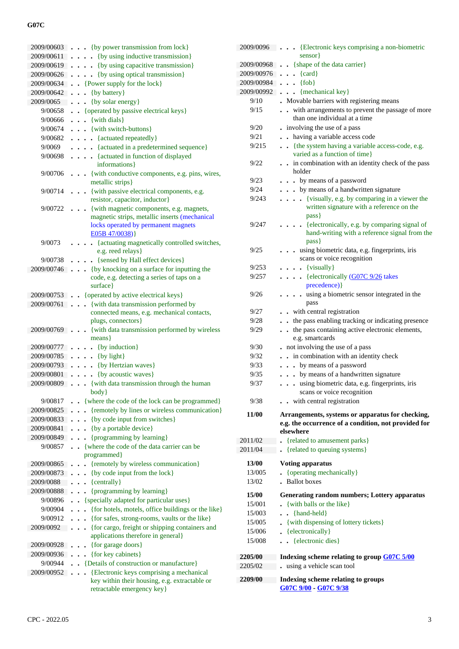### **G07C**

| 2009/00603 | • {by power transmission from lock}                                    |
|------------|------------------------------------------------------------------------|
| 2009/00611 | {by using inductive transmission}                                      |
| 2009/00619 | {by using capacitive transmission}<br>$\ddot{\phantom{a}}$             |
| 2009/00626 | {by using optical transmission}<br>$\ddot{\phantom{a}}$                |
| 2009/00634 | {Power supply for the lock}                                            |
| 2009/00642 | {by battery}<br>$\ddot{\phantom{0}}$                                   |
| 2009/0065  | {by solar energy}                                                      |
| 9/00658    | • {operated by passive electrical keys}                                |
| 9/00666    | {with dials}<br>$\ddot{\phantom{0}}$                                   |
| 9/00674    | . . {with switch-buttons}                                              |
| 9/00682    | {actuated repeatedly}<br>$\ddot{\phantom{a}}$                          |
| 9/0069     | {actuated in a predetermined sequence}<br>$\ddot{\phantom{0}}$         |
| 9/00698    | {actuated in function of displayed<br>$\ddots$                         |
|            | informations }                                                         |
| 9/00706    | {with conductive components, e.g. pins, wires,                         |
|            | metallic strips}                                                       |
| 9/00714    | {with passive electrical components, e.g.                              |
|            | resistor, capacitor, inductor}                                         |
| 9/00722    | {with magnetic components, e.g. magnets,                               |
|            | magnetic strips, metallic inserts (mechanical                          |
|            | locks operated by permanent magnets<br>E05B 47/0038)}                  |
|            |                                                                        |
| 9/0073     | {actuating magnetically controlled switches,<br>e.g. reed relays}      |
| 9/00738    | {sensed by Hall effect devices}                                        |
| 2009/00746 | {by knocking on a surface for inputting the                            |
|            | code, e.g. detecting a series of taps on a                             |
|            | surface}                                                               |
| 2009/00753 | {operated by active electrical keys}                                   |
| 2009/00761 | {with data transmission performed by                                   |
|            | connected means, e.g. mechanical contacts,                             |
|            | plugs, connectors}                                                     |
| 2009/00769 | {with data transmission performed by wireless                          |
|            | $means\}$                                                              |
| 2009/00777 | {by induction}                                                         |
| 2009/00785 | {by light}<br>$\ddot{\phantom{0}}$                                     |
| 2009/00793 | {by Hertzian waves}<br>$\ddot{\phantom{0}}$                            |
| 2009/00801 | {by acoustic waves}<br>$\ddot{\phantom{0}}$                            |
| 2009/00809 | . {with data transmission through the human                            |
|            | body }                                                                 |
| 9/00817    | {where the code of the lock can be programmed}                         |
| 2009/00825 | {remotely by lines or wireless communication}                          |
| 2009/00833 | {by code input from switches}<br>$\bullet$                             |
| 2009/00841 | {by a portable device}<br>$\ddot{\phantom{0}}$                         |
| 2009/00849 | {programming by learning}                                              |
| 9/00857    | {where the code of the data carrier can be<br>$\ddot{\phantom{0}}$     |
|            | programmed}                                                            |
| 2009/00865 | {remotely by wireless communication}                                   |
| 2009/00873 | {by code input from the lock}                                          |
| 2009/0088  | $\{centrally\}$<br>$\ddot{\phantom{0}}$                                |
| 2009/00888 | {programming by learning}                                              |
| 9/00896    | • {specially adapted for particular uses}                              |
| 9/00904    | {for hotels, motels, office buildings or the like}                     |
| 9/00912    | {for safes, strong-rooms, vaults or the like}                          |
| 2009/0092  | {for cargo, freight or shipping containers and<br>$\ddot{\phantom{0}}$ |
| 2009/00928 | applications therefore in general}<br>{for garage doors}               |
| 2009/00936 | {for key cabinets}<br>$\ddot{\phantom{0}}$                             |
| 9/00944    | {Details of construction or manufacture}<br>$\ddot{\phantom{0}}$       |
| 2009/00952 | {Electronic keys comprising a mechanical<br>$\cdot$                    |
|            | key within their housing, e.g. extractable or                          |
|            | retractable emergency key}                                             |

| 2009/0096      | . Electronic keys comprising a non-biometric<br>sensor                              |
|----------------|-------------------------------------------------------------------------------------|
| 2009/00968     | $\bullet$ {shape of the data carrier}<br>$\ddot{\phantom{0}}$                       |
| 2009/00976     | $\bullet \bullet \{ \text{card} \}$                                                 |
| 2009/00984     | $\{fob\}$<br>$\sim$                                                                 |
| 2009/00992     | {mechanical key}<br>$\ddot{\phantom{0}}$                                            |
| 9/10           | Movable barriers with registering means                                             |
| 9/15           | . with arrangements to prevent the passage of more                                  |
|                | than one individual at a time                                                       |
| 9/20           | involving the use of a pass                                                         |
| 9/21           | . having a variable access code                                                     |
| 9/215          | . {the system having a variable access-code, e.g.                                   |
|                | varied as a function of time }                                                      |
| 9/22           | in combination with an identity check of the pass<br>$\ddot{\phantom{0}}$<br>holder |
| 9/23           | • by means of a password<br>$\cdot$                                                 |
| 9/24           | by means of a handwritten signature                                                 |
| 9/243          | {visually, e.g. by comparing in a viewer the<br>$\ddot{\phantom{1}}$                |
|                | written signature with a reference on the                                           |
|                | pass }                                                                              |
| 9/247          | - {electronically, e.g. by comparing signal of                                      |
|                | hand-writing with a reference signal from the                                       |
|                | $pass\}$                                                                            |
| 9/25           | using biometric data, e.g. fingerprints, iris                                       |
|                | scans or voice recognition                                                          |
| 9/253          | $\bullet$ {visually}                                                                |
| 9/257          | $\cdot$ {electronically (G07C 9/26 takes                                            |
|                | precedence) }                                                                       |
| 9/26           | . using a biometric sensor integrated in the                                        |
|                | pass                                                                                |
| 9/27           | - with central registration                                                         |
| 9/28           | - the pass enabling tracking or indicating presence                                 |
| 9/29           | the pass containing active electronic elements,<br>$\bullet$<br>e.g. smartcards     |
| 9/30           | not involving the use of a pass                                                     |
| 9/32           | in combination with an identity check<br>$\ddot{\phantom{0}}$                       |
| 9/33           | . . by means of a password                                                          |
| 9/35           | by means of a handwritten signature                                                 |
| 9/37           | using biometric data, e.g. fingerprints, iris                                       |
|                | scans or voice recognition                                                          |
| 9/38           | with central registration                                                           |
|                |                                                                                     |
| 11/00          | Arrangements, systems or apparatus for checking,                                    |
|                | e.g. the occurrence of a condition, not provided for                                |
|                | elsewhere                                                                           |
| 2011/02        | {related to amusement parks}                                                        |
| 2011/04        | . {related to queuing systems}                                                      |
| <b>13/00</b>   | <b>Voting apparatus</b>                                                             |
| 13/005         | {operating mechanically}                                                            |
| 13/02          | . Ballot boxes                                                                      |
| 15/00          | <b>Generating random numbers; Lottery apparatus</b>                                 |
|                | {with balls or the like}                                                            |
| 15/001         |                                                                                     |
| 15/003         | {hand-held}<br>$\ddot{\phantom{0}}$                                                 |
| 15/005         | - {with dispensing of lottery tickets}                                              |
| 15/006         | $\bullet$ {electronically}                                                          |
| 15/008         | · {electronic dies}                                                                 |
| 2205/00        | Indexing scheme relating to group G07C 5/00                                         |
| 2205/02        | using a vehicle scan tool                                                           |
|                |                                                                                     |
| <b>2209/00</b> | Indexing scheme relating to groups<br>G07C 9/00 - G07C 9/38                         |